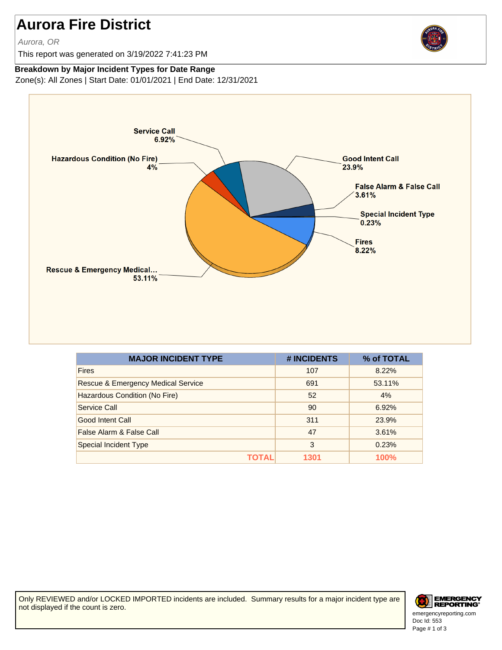## **Aurora Fire District**

Aurora, OR

This report was generated on 3/19/2022 7:41:23 PM



## **Breakdown by Major Incident Types for Date Range**

Zone(s): All Zones | Start Date: 01/01/2021 | End Date: 12/31/2021



| <b>MAJOR INCIDENT TYPE</b>         | # INCIDENTS | % of TOTAL  |
|------------------------------------|-------------|-------------|
| <b>Fires</b>                       | 107         | 8.22%       |
| Rescue & Emergency Medical Service | 691         | 53.11%      |
| Hazardous Condition (No Fire)      | 52          | 4%          |
| Service Call                       | 90          | 6.92%       |
| Good Intent Call                   | 311         | 23.9%       |
| False Alarm & False Call           | 47          | 3.61%       |
| <b>Special Incident Type</b>       | 3           | 0.23%       |
| ΤΟΤΑL                              | 1301        | <b>100%</b> |

Only REVIEWED and/or LOCKED IMPORTED incidents are included. Summary results for a major incident type are not displayed if the count is zero.

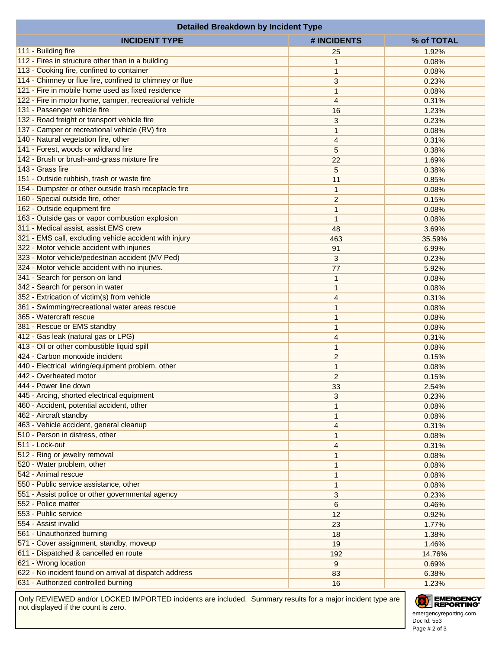| <b>INCIDENT TYPE</b><br># INCIDENTS<br>% of TOTAL<br>111 - Building fire<br>1.92%<br>25<br>112 - Fires in structure other than in a building<br>0.08%<br>1<br>113 - Cooking fire, confined to container<br>$\mathbf{1}$<br>0.08%<br>114 - Chimney or flue fire, confined to chimney or flue<br>3<br>0.23%<br>121 - Fire in mobile home used as fixed residence<br>0.08%<br>1<br>122 - Fire in motor home, camper, recreational vehicle<br>4<br>0.31%<br>131 - Passenger vehicle fire<br>16<br>1.23%<br>132 - Road freight or transport vehicle fire<br>3<br>0.23%<br>137 - Camper or recreational vehicle (RV) fire<br>1<br>0.08%<br>140 - Natural vegetation fire, other<br>4<br>0.31%<br>141 - Forest, woods or wildland fire<br>5<br>0.38%<br>142 - Brush or brush-and-grass mixture fire<br>22<br>1.69%<br>143 - Grass fire<br>5<br>0.38%<br>151 - Outside rubbish, trash or waste fire<br>11<br>0.85%<br>154 - Dumpster or other outside trash receptacle fire<br>$\mathbf{1}$<br>0.08%<br>160 - Special outside fire, other<br>$\overline{c}$<br>0.15%<br>162 - Outside equipment fire<br>1<br>0.08%<br>163 - Outside gas or vapor combustion explosion<br>$\mathbf{1}$<br>0.08%<br>311 - Medical assist, assist EMS crew<br>48<br>3.69%<br>321 - EMS call, excluding vehicle accident with injury<br>463<br>35.59%<br>322 - Motor vehicle accident with injuries<br>91<br>6.99%<br>323 - Motor vehicle/pedestrian accident (MV Ped)<br>3<br>0.23%<br>324 - Motor vehicle accident with no injuries.<br>77<br>5.92%<br>341 - Search for person on land<br>$\mathbf{1}$<br>0.08%<br>342 - Search for person in water<br>$\mathbf{1}$<br>0.08%<br>352 - Extrication of victim(s) from vehicle<br>$\overline{4}$<br>0.31%<br>361 - Swimming/recreational water areas rescue<br>$\mathbf{1}$<br>0.08%<br>365 - Watercraft rescue<br>$\mathbf{1}$<br>0.08%<br>381 - Rescue or EMS standby<br>1<br>0.08%<br>412 - Gas leak (natural gas or LPG)<br>$\overline{4}$<br>0.31%<br>413 - Oil or other combustible liquid spill<br>$\mathbf{1}$<br>0.08%<br>424 - Carbon monoxide incident<br>$\overline{c}$<br>0.15%<br>440 - Electrical wiring/equipment problem, other<br>$\mathbf{1}$<br>0.08%<br>442 - Overheated motor<br>$\overline{c}$<br>0.15%<br>444 - Power line down<br>33<br>2.54%<br>445 - Arcing, shorted electrical equipment<br>3<br>0.23%<br>460 - Accident, potential accident, other<br>$\mathbf{1}$<br>0.08%<br>462 - Aircraft standby<br>1<br>0.08%<br>463 - Vehicle accident, general cleanup<br>$\overline{4}$<br>0.31%<br>510 - Person in distress, other<br>$\mathbf{1}$<br>0.08%<br>511 - Lock-out<br>4<br>0.31%<br>512 - Ring or jewelry removal<br>$\mathbf{1}$<br>0.08%<br>520 - Water problem, other<br>$\mathbf{1}$<br>0.08%<br>542 - Animal rescue<br>1<br>0.08%<br>550 - Public service assistance, other<br>$\mathbf{1}$<br>0.08%<br>551 - Assist police or other governmental agency<br>3<br>0.23%<br>552 - Police matter<br>6<br>0.46%<br>553 - Public service<br>12<br>0.92%<br>554 - Assist invalid<br>23<br>1.77%<br>561 - Unauthorized burning<br>18<br>1.38%<br>571 - Cover assignment, standby, moveup<br>19<br>1.46%<br>611 - Dispatched & cancelled en route<br>192<br>14.76%<br>621 - Wrong location<br>9<br>0.69%<br>622 - No incident found on arrival at dispatch address<br>83<br>6.38%<br>631 - Authorized controlled burning<br>16<br>1.23% | <b>Detailed Breakdown by Incident Type</b> |  |
|-------------------------------------------------------------------------------------------------------------------------------------------------------------------------------------------------------------------------------------------------------------------------------------------------------------------------------------------------------------------------------------------------------------------------------------------------------------------------------------------------------------------------------------------------------------------------------------------------------------------------------------------------------------------------------------------------------------------------------------------------------------------------------------------------------------------------------------------------------------------------------------------------------------------------------------------------------------------------------------------------------------------------------------------------------------------------------------------------------------------------------------------------------------------------------------------------------------------------------------------------------------------------------------------------------------------------------------------------------------------------------------------------------------------------------------------------------------------------------------------------------------------------------------------------------------------------------------------------------------------------------------------------------------------------------------------------------------------------------------------------------------------------------------------------------------------------------------------------------------------------------------------------------------------------------------------------------------------------------------------------------------------------------------------------------------------------------------------------------------------------------------------------------------------------------------------------------------------------------------------------------------------------------------------------------------------------------------------------------------------------------------------------------------------------------------------------------------------------------------------------------------------------------------------------------------------------------------------------------------------------------------------------------------------------------------------------------------------------------------------------------------------------------------------------------------------------------------------------------------------------------------------------------------------------------------------------------------------------------------------------------------------------------------------------------------------------------------------------------------------------------------------------------------------------------------------------------------------------------------------------------------------------------------------------------------------------------------------------------------------------------------------|--------------------------------------------|--|
|                                                                                                                                                                                                                                                                                                                                                                                                                                                                                                                                                                                                                                                                                                                                                                                                                                                                                                                                                                                                                                                                                                                                                                                                                                                                                                                                                                                                                                                                                                                                                                                                                                                                                                                                                                                                                                                                                                                                                                                                                                                                                                                                                                                                                                                                                                                                                                                                                                                                                                                                                                                                                                                                                                                                                                                                                                                                                                                                                                                                                                                                                                                                                                                                                                                                                                                                                                                           |                                            |  |
|                                                                                                                                                                                                                                                                                                                                                                                                                                                                                                                                                                                                                                                                                                                                                                                                                                                                                                                                                                                                                                                                                                                                                                                                                                                                                                                                                                                                                                                                                                                                                                                                                                                                                                                                                                                                                                                                                                                                                                                                                                                                                                                                                                                                                                                                                                                                                                                                                                                                                                                                                                                                                                                                                                                                                                                                                                                                                                                                                                                                                                                                                                                                                                                                                                                                                                                                                                                           |                                            |  |
|                                                                                                                                                                                                                                                                                                                                                                                                                                                                                                                                                                                                                                                                                                                                                                                                                                                                                                                                                                                                                                                                                                                                                                                                                                                                                                                                                                                                                                                                                                                                                                                                                                                                                                                                                                                                                                                                                                                                                                                                                                                                                                                                                                                                                                                                                                                                                                                                                                                                                                                                                                                                                                                                                                                                                                                                                                                                                                                                                                                                                                                                                                                                                                                                                                                                                                                                                                                           |                                            |  |
|                                                                                                                                                                                                                                                                                                                                                                                                                                                                                                                                                                                                                                                                                                                                                                                                                                                                                                                                                                                                                                                                                                                                                                                                                                                                                                                                                                                                                                                                                                                                                                                                                                                                                                                                                                                                                                                                                                                                                                                                                                                                                                                                                                                                                                                                                                                                                                                                                                                                                                                                                                                                                                                                                                                                                                                                                                                                                                                                                                                                                                                                                                                                                                                                                                                                                                                                                                                           |                                            |  |
|                                                                                                                                                                                                                                                                                                                                                                                                                                                                                                                                                                                                                                                                                                                                                                                                                                                                                                                                                                                                                                                                                                                                                                                                                                                                                                                                                                                                                                                                                                                                                                                                                                                                                                                                                                                                                                                                                                                                                                                                                                                                                                                                                                                                                                                                                                                                                                                                                                                                                                                                                                                                                                                                                                                                                                                                                                                                                                                                                                                                                                                                                                                                                                                                                                                                                                                                                                                           |                                            |  |
|                                                                                                                                                                                                                                                                                                                                                                                                                                                                                                                                                                                                                                                                                                                                                                                                                                                                                                                                                                                                                                                                                                                                                                                                                                                                                                                                                                                                                                                                                                                                                                                                                                                                                                                                                                                                                                                                                                                                                                                                                                                                                                                                                                                                                                                                                                                                                                                                                                                                                                                                                                                                                                                                                                                                                                                                                                                                                                                                                                                                                                                                                                                                                                                                                                                                                                                                                                                           |                                            |  |
|                                                                                                                                                                                                                                                                                                                                                                                                                                                                                                                                                                                                                                                                                                                                                                                                                                                                                                                                                                                                                                                                                                                                                                                                                                                                                                                                                                                                                                                                                                                                                                                                                                                                                                                                                                                                                                                                                                                                                                                                                                                                                                                                                                                                                                                                                                                                                                                                                                                                                                                                                                                                                                                                                                                                                                                                                                                                                                                                                                                                                                                                                                                                                                                                                                                                                                                                                                                           |                                            |  |
|                                                                                                                                                                                                                                                                                                                                                                                                                                                                                                                                                                                                                                                                                                                                                                                                                                                                                                                                                                                                                                                                                                                                                                                                                                                                                                                                                                                                                                                                                                                                                                                                                                                                                                                                                                                                                                                                                                                                                                                                                                                                                                                                                                                                                                                                                                                                                                                                                                                                                                                                                                                                                                                                                                                                                                                                                                                                                                                                                                                                                                                                                                                                                                                                                                                                                                                                                                                           |                                            |  |
|                                                                                                                                                                                                                                                                                                                                                                                                                                                                                                                                                                                                                                                                                                                                                                                                                                                                                                                                                                                                                                                                                                                                                                                                                                                                                                                                                                                                                                                                                                                                                                                                                                                                                                                                                                                                                                                                                                                                                                                                                                                                                                                                                                                                                                                                                                                                                                                                                                                                                                                                                                                                                                                                                                                                                                                                                                                                                                                                                                                                                                                                                                                                                                                                                                                                                                                                                                                           |                                            |  |
|                                                                                                                                                                                                                                                                                                                                                                                                                                                                                                                                                                                                                                                                                                                                                                                                                                                                                                                                                                                                                                                                                                                                                                                                                                                                                                                                                                                                                                                                                                                                                                                                                                                                                                                                                                                                                                                                                                                                                                                                                                                                                                                                                                                                                                                                                                                                                                                                                                                                                                                                                                                                                                                                                                                                                                                                                                                                                                                                                                                                                                                                                                                                                                                                                                                                                                                                                                                           |                                            |  |
|                                                                                                                                                                                                                                                                                                                                                                                                                                                                                                                                                                                                                                                                                                                                                                                                                                                                                                                                                                                                                                                                                                                                                                                                                                                                                                                                                                                                                                                                                                                                                                                                                                                                                                                                                                                                                                                                                                                                                                                                                                                                                                                                                                                                                                                                                                                                                                                                                                                                                                                                                                                                                                                                                                                                                                                                                                                                                                                                                                                                                                                                                                                                                                                                                                                                                                                                                                                           |                                            |  |
|                                                                                                                                                                                                                                                                                                                                                                                                                                                                                                                                                                                                                                                                                                                                                                                                                                                                                                                                                                                                                                                                                                                                                                                                                                                                                                                                                                                                                                                                                                                                                                                                                                                                                                                                                                                                                                                                                                                                                                                                                                                                                                                                                                                                                                                                                                                                                                                                                                                                                                                                                                                                                                                                                                                                                                                                                                                                                                                                                                                                                                                                                                                                                                                                                                                                                                                                                                                           |                                            |  |
|                                                                                                                                                                                                                                                                                                                                                                                                                                                                                                                                                                                                                                                                                                                                                                                                                                                                                                                                                                                                                                                                                                                                                                                                                                                                                                                                                                                                                                                                                                                                                                                                                                                                                                                                                                                                                                                                                                                                                                                                                                                                                                                                                                                                                                                                                                                                                                                                                                                                                                                                                                                                                                                                                                                                                                                                                                                                                                                                                                                                                                                                                                                                                                                                                                                                                                                                                                                           |                                            |  |
|                                                                                                                                                                                                                                                                                                                                                                                                                                                                                                                                                                                                                                                                                                                                                                                                                                                                                                                                                                                                                                                                                                                                                                                                                                                                                                                                                                                                                                                                                                                                                                                                                                                                                                                                                                                                                                                                                                                                                                                                                                                                                                                                                                                                                                                                                                                                                                                                                                                                                                                                                                                                                                                                                                                                                                                                                                                                                                                                                                                                                                                                                                                                                                                                                                                                                                                                                                                           |                                            |  |
|                                                                                                                                                                                                                                                                                                                                                                                                                                                                                                                                                                                                                                                                                                                                                                                                                                                                                                                                                                                                                                                                                                                                                                                                                                                                                                                                                                                                                                                                                                                                                                                                                                                                                                                                                                                                                                                                                                                                                                                                                                                                                                                                                                                                                                                                                                                                                                                                                                                                                                                                                                                                                                                                                                                                                                                                                                                                                                                                                                                                                                                                                                                                                                                                                                                                                                                                                                                           |                                            |  |
|                                                                                                                                                                                                                                                                                                                                                                                                                                                                                                                                                                                                                                                                                                                                                                                                                                                                                                                                                                                                                                                                                                                                                                                                                                                                                                                                                                                                                                                                                                                                                                                                                                                                                                                                                                                                                                                                                                                                                                                                                                                                                                                                                                                                                                                                                                                                                                                                                                                                                                                                                                                                                                                                                                                                                                                                                                                                                                                                                                                                                                                                                                                                                                                                                                                                                                                                                                                           |                                            |  |
|                                                                                                                                                                                                                                                                                                                                                                                                                                                                                                                                                                                                                                                                                                                                                                                                                                                                                                                                                                                                                                                                                                                                                                                                                                                                                                                                                                                                                                                                                                                                                                                                                                                                                                                                                                                                                                                                                                                                                                                                                                                                                                                                                                                                                                                                                                                                                                                                                                                                                                                                                                                                                                                                                                                                                                                                                                                                                                                                                                                                                                                                                                                                                                                                                                                                                                                                                                                           |                                            |  |
|                                                                                                                                                                                                                                                                                                                                                                                                                                                                                                                                                                                                                                                                                                                                                                                                                                                                                                                                                                                                                                                                                                                                                                                                                                                                                                                                                                                                                                                                                                                                                                                                                                                                                                                                                                                                                                                                                                                                                                                                                                                                                                                                                                                                                                                                                                                                                                                                                                                                                                                                                                                                                                                                                                                                                                                                                                                                                                                                                                                                                                                                                                                                                                                                                                                                                                                                                                                           |                                            |  |
|                                                                                                                                                                                                                                                                                                                                                                                                                                                                                                                                                                                                                                                                                                                                                                                                                                                                                                                                                                                                                                                                                                                                                                                                                                                                                                                                                                                                                                                                                                                                                                                                                                                                                                                                                                                                                                                                                                                                                                                                                                                                                                                                                                                                                                                                                                                                                                                                                                                                                                                                                                                                                                                                                                                                                                                                                                                                                                                                                                                                                                                                                                                                                                                                                                                                                                                                                                                           |                                            |  |
|                                                                                                                                                                                                                                                                                                                                                                                                                                                                                                                                                                                                                                                                                                                                                                                                                                                                                                                                                                                                                                                                                                                                                                                                                                                                                                                                                                                                                                                                                                                                                                                                                                                                                                                                                                                                                                                                                                                                                                                                                                                                                                                                                                                                                                                                                                                                                                                                                                                                                                                                                                                                                                                                                                                                                                                                                                                                                                                                                                                                                                                                                                                                                                                                                                                                                                                                                                                           |                                            |  |
|                                                                                                                                                                                                                                                                                                                                                                                                                                                                                                                                                                                                                                                                                                                                                                                                                                                                                                                                                                                                                                                                                                                                                                                                                                                                                                                                                                                                                                                                                                                                                                                                                                                                                                                                                                                                                                                                                                                                                                                                                                                                                                                                                                                                                                                                                                                                                                                                                                                                                                                                                                                                                                                                                                                                                                                                                                                                                                                                                                                                                                                                                                                                                                                                                                                                                                                                                                                           |                                            |  |
|                                                                                                                                                                                                                                                                                                                                                                                                                                                                                                                                                                                                                                                                                                                                                                                                                                                                                                                                                                                                                                                                                                                                                                                                                                                                                                                                                                                                                                                                                                                                                                                                                                                                                                                                                                                                                                                                                                                                                                                                                                                                                                                                                                                                                                                                                                                                                                                                                                                                                                                                                                                                                                                                                                                                                                                                                                                                                                                                                                                                                                                                                                                                                                                                                                                                                                                                                                                           |                                            |  |
|                                                                                                                                                                                                                                                                                                                                                                                                                                                                                                                                                                                                                                                                                                                                                                                                                                                                                                                                                                                                                                                                                                                                                                                                                                                                                                                                                                                                                                                                                                                                                                                                                                                                                                                                                                                                                                                                                                                                                                                                                                                                                                                                                                                                                                                                                                                                                                                                                                                                                                                                                                                                                                                                                                                                                                                                                                                                                                                                                                                                                                                                                                                                                                                                                                                                                                                                                                                           |                                            |  |
|                                                                                                                                                                                                                                                                                                                                                                                                                                                                                                                                                                                                                                                                                                                                                                                                                                                                                                                                                                                                                                                                                                                                                                                                                                                                                                                                                                                                                                                                                                                                                                                                                                                                                                                                                                                                                                                                                                                                                                                                                                                                                                                                                                                                                                                                                                                                                                                                                                                                                                                                                                                                                                                                                                                                                                                                                                                                                                                                                                                                                                                                                                                                                                                                                                                                                                                                                                                           |                                            |  |
|                                                                                                                                                                                                                                                                                                                                                                                                                                                                                                                                                                                                                                                                                                                                                                                                                                                                                                                                                                                                                                                                                                                                                                                                                                                                                                                                                                                                                                                                                                                                                                                                                                                                                                                                                                                                                                                                                                                                                                                                                                                                                                                                                                                                                                                                                                                                                                                                                                                                                                                                                                                                                                                                                                                                                                                                                                                                                                                                                                                                                                                                                                                                                                                                                                                                                                                                                                                           |                                            |  |
|                                                                                                                                                                                                                                                                                                                                                                                                                                                                                                                                                                                                                                                                                                                                                                                                                                                                                                                                                                                                                                                                                                                                                                                                                                                                                                                                                                                                                                                                                                                                                                                                                                                                                                                                                                                                                                                                                                                                                                                                                                                                                                                                                                                                                                                                                                                                                                                                                                                                                                                                                                                                                                                                                                                                                                                                                                                                                                                                                                                                                                                                                                                                                                                                                                                                                                                                                                                           |                                            |  |
|                                                                                                                                                                                                                                                                                                                                                                                                                                                                                                                                                                                                                                                                                                                                                                                                                                                                                                                                                                                                                                                                                                                                                                                                                                                                                                                                                                                                                                                                                                                                                                                                                                                                                                                                                                                                                                                                                                                                                                                                                                                                                                                                                                                                                                                                                                                                                                                                                                                                                                                                                                                                                                                                                                                                                                                                                                                                                                                                                                                                                                                                                                                                                                                                                                                                                                                                                                                           |                                            |  |
|                                                                                                                                                                                                                                                                                                                                                                                                                                                                                                                                                                                                                                                                                                                                                                                                                                                                                                                                                                                                                                                                                                                                                                                                                                                                                                                                                                                                                                                                                                                                                                                                                                                                                                                                                                                                                                                                                                                                                                                                                                                                                                                                                                                                                                                                                                                                                                                                                                                                                                                                                                                                                                                                                                                                                                                                                                                                                                                                                                                                                                                                                                                                                                                                                                                                                                                                                                                           |                                            |  |
|                                                                                                                                                                                                                                                                                                                                                                                                                                                                                                                                                                                                                                                                                                                                                                                                                                                                                                                                                                                                                                                                                                                                                                                                                                                                                                                                                                                                                                                                                                                                                                                                                                                                                                                                                                                                                                                                                                                                                                                                                                                                                                                                                                                                                                                                                                                                                                                                                                                                                                                                                                                                                                                                                                                                                                                                                                                                                                                                                                                                                                                                                                                                                                                                                                                                                                                                                                                           |                                            |  |
|                                                                                                                                                                                                                                                                                                                                                                                                                                                                                                                                                                                                                                                                                                                                                                                                                                                                                                                                                                                                                                                                                                                                                                                                                                                                                                                                                                                                                                                                                                                                                                                                                                                                                                                                                                                                                                                                                                                                                                                                                                                                                                                                                                                                                                                                                                                                                                                                                                                                                                                                                                                                                                                                                                                                                                                                                                                                                                                                                                                                                                                                                                                                                                                                                                                                                                                                                                                           |                                            |  |
|                                                                                                                                                                                                                                                                                                                                                                                                                                                                                                                                                                                                                                                                                                                                                                                                                                                                                                                                                                                                                                                                                                                                                                                                                                                                                                                                                                                                                                                                                                                                                                                                                                                                                                                                                                                                                                                                                                                                                                                                                                                                                                                                                                                                                                                                                                                                                                                                                                                                                                                                                                                                                                                                                                                                                                                                                                                                                                                                                                                                                                                                                                                                                                                                                                                                                                                                                                                           |                                            |  |
|                                                                                                                                                                                                                                                                                                                                                                                                                                                                                                                                                                                                                                                                                                                                                                                                                                                                                                                                                                                                                                                                                                                                                                                                                                                                                                                                                                                                                                                                                                                                                                                                                                                                                                                                                                                                                                                                                                                                                                                                                                                                                                                                                                                                                                                                                                                                                                                                                                                                                                                                                                                                                                                                                                                                                                                                                                                                                                                                                                                                                                                                                                                                                                                                                                                                                                                                                                                           |                                            |  |
|                                                                                                                                                                                                                                                                                                                                                                                                                                                                                                                                                                                                                                                                                                                                                                                                                                                                                                                                                                                                                                                                                                                                                                                                                                                                                                                                                                                                                                                                                                                                                                                                                                                                                                                                                                                                                                                                                                                                                                                                                                                                                                                                                                                                                                                                                                                                                                                                                                                                                                                                                                                                                                                                                                                                                                                                                                                                                                                                                                                                                                                                                                                                                                                                                                                                                                                                                                                           |                                            |  |
|                                                                                                                                                                                                                                                                                                                                                                                                                                                                                                                                                                                                                                                                                                                                                                                                                                                                                                                                                                                                                                                                                                                                                                                                                                                                                                                                                                                                                                                                                                                                                                                                                                                                                                                                                                                                                                                                                                                                                                                                                                                                                                                                                                                                                                                                                                                                                                                                                                                                                                                                                                                                                                                                                                                                                                                                                                                                                                                                                                                                                                                                                                                                                                                                                                                                                                                                                                                           |                                            |  |
|                                                                                                                                                                                                                                                                                                                                                                                                                                                                                                                                                                                                                                                                                                                                                                                                                                                                                                                                                                                                                                                                                                                                                                                                                                                                                                                                                                                                                                                                                                                                                                                                                                                                                                                                                                                                                                                                                                                                                                                                                                                                                                                                                                                                                                                                                                                                                                                                                                                                                                                                                                                                                                                                                                                                                                                                                                                                                                                                                                                                                                                                                                                                                                                                                                                                                                                                                                                           |                                            |  |
|                                                                                                                                                                                                                                                                                                                                                                                                                                                                                                                                                                                                                                                                                                                                                                                                                                                                                                                                                                                                                                                                                                                                                                                                                                                                                                                                                                                                                                                                                                                                                                                                                                                                                                                                                                                                                                                                                                                                                                                                                                                                                                                                                                                                                                                                                                                                                                                                                                                                                                                                                                                                                                                                                                                                                                                                                                                                                                                                                                                                                                                                                                                                                                                                                                                                                                                                                                                           |                                            |  |
|                                                                                                                                                                                                                                                                                                                                                                                                                                                                                                                                                                                                                                                                                                                                                                                                                                                                                                                                                                                                                                                                                                                                                                                                                                                                                                                                                                                                                                                                                                                                                                                                                                                                                                                                                                                                                                                                                                                                                                                                                                                                                                                                                                                                                                                                                                                                                                                                                                                                                                                                                                                                                                                                                                                                                                                                                                                                                                                                                                                                                                                                                                                                                                                                                                                                                                                                                                                           |                                            |  |
|                                                                                                                                                                                                                                                                                                                                                                                                                                                                                                                                                                                                                                                                                                                                                                                                                                                                                                                                                                                                                                                                                                                                                                                                                                                                                                                                                                                                                                                                                                                                                                                                                                                                                                                                                                                                                                                                                                                                                                                                                                                                                                                                                                                                                                                                                                                                                                                                                                                                                                                                                                                                                                                                                                                                                                                                                                                                                                                                                                                                                                                                                                                                                                                                                                                                                                                                                                                           |                                            |  |
|                                                                                                                                                                                                                                                                                                                                                                                                                                                                                                                                                                                                                                                                                                                                                                                                                                                                                                                                                                                                                                                                                                                                                                                                                                                                                                                                                                                                                                                                                                                                                                                                                                                                                                                                                                                                                                                                                                                                                                                                                                                                                                                                                                                                                                                                                                                                                                                                                                                                                                                                                                                                                                                                                                                                                                                                                                                                                                                                                                                                                                                                                                                                                                                                                                                                                                                                                                                           |                                            |  |
|                                                                                                                                                                                                                                                                                                                                                                                                                                                                                                                                                                                                                                                                                                                                                                                                                                                                                                                                                                                                                                                                                                                                                                                                                                                                                                                                                                                                                                                                                                                                                                                                                                                                                                                                                                                                                                                                                                                                                                                                                                                                                                                                                                                                                                                                                                                                                                                                                                                                                                                                                                                                                                                                                                                                                                                                                                                                                                                                                                                                                                                                                                                                                                                                                                                                                                                                                                                           |                                            |  |
|                                                                                                                                                                                                                                                                                                                                                                                                                                                                                                                                                                                                                                                                                                                                                                                                                                                                                                                                                                                                                                                                                                                                                                                                                                                                                                                                                                                                                                                                                                                                                                                                                                                                                                                                                                                                                                                                                                                                                                                                                                                                                                                                                                                                                                                                                                                                                                                                                                                                                                                                                                                                                                                                                                                                                                                                                                                                                                                                                                                                                                                                                                                                                                                                                                                                                                                                                                                           |                                            |  |
|                                                                                                                                                                                                                                                                                                                                                                                                                                                                                                                                                                                                                                                                                                                                                                                                                                                                                                                                                                                                                                                                                                                                                                                                                                                                                                                                                                                                                                                                                                                                                                                                                                                                                                                                                                                                                                                                                                                                                                                                                                                                                                                                                                                                                                                                                                                                                                                                                                                                                                                                                                                                                                                                                                                                                                                                                                                                                                                                                                                                                                                                                                                                                                                                                                                                                                                                                                                           |                                            |  |
|                                                                                                                                                                                                                                                                                                                                                                                                                                                                                                                                                                                                                                                                                                                                                                                                                                                                                                                                                                                                                                                                                                                                                                                                                                                                                                                                                                                                                                                                                                                                                                                                                                                                                                                                                                                                                                                                                                                                                                                                                                                                                                                                                                                                                                                                                                                                                                                                                                                                                                                                                                                                                                                                                                                                                                                                                                                                                                                                                                                                                                                                                                                                                                                                                                                                                                                                                                                           |                                            |  |
|                                                                                                                                                                                                                                                                                                                                                                                                                                                                                                                                                                                                                                                                                                                                                                                                                                                                                                                                                                                                                                                                                                                                                                                                                                                                                                                                                                                                                                                                                                                                                                                                                                                                                                                                                                                                                                                                                                                                                                                                                                                                                                                                                                                                                                                                                                                                                                                                                                                                                                                                                                                                                                                                                                                                                                                                                                                                                                                                                                                                                                                                                                                                                                                                                                                                                                                                                                                           |                                            |  |
|                                                                                                                                                                                                                                                                                                                                                                                                                                                                                                                                                                                                                                                                                                                                                                                                                                                                                                                                                                                                                                                                                                                                                                                                                                                                                                                                                                                                                                                                                                                                                                                                                                                                                                                                                                                                                                                                                                                                                                                                                                                                                                                                                                                                                                                                                                                                                                                                                                                                                                                                                                                                                                                                                                                                                                                                                                                                                                                                                                                                                                                                                                                                                                                                                                                                                                                                                                                           |                                            |  |
|                                                                                                                                                                                                                                                                                                                                                                                                                                                                                                                                                                                                                                                                                                                                                                                                                                                                                                                                                                                                                                                                                                                                                                                                                                                                                                                                                                                                                                                                                                                                                                                                                                                                                                                                                                                                                                                                                                                                                                                                                                                                                                                                                                                                                                                                                                                                                                                                                                                                                                                                                                                                                                                                                                                                                                                                                                                                                                                                                                                                                                                                                                                                                                                                                                                                                                                                                                                           |                                            |  |
|                                                                                                                                                                                                                                                                                                                                                                                                                                                                                                                                                                                                                                                                                                                                                                                                                                                                                                                                                                                                                                                                                                                                                                                                                                                                                                                                                                                                                                                                                                                                                                                                                                                                                                                                                                                                                                                                                                                                                                                                                                                                                                                                                                                                                                                                                                                                                                                                                                                                                                                                                                                                                                                                                                                                                                                                                                                                                                                                                                                                                                                                                                                                                                                                                                                                                                                                                                                           |                                            |  |
|                                                                                                                                                                                                                                                                                                                                                                                                                                                                                                                                                                                                                                                                                                                                                                                                                                                                                                                                                                                                                                                                                                                                                                                                                                                                                                                                                                                                                                                                                                                                                                                                                                                                                                                                                                                                                                                                                                                                                                                                                                                                                                                                                                                                                                                                                                                                                                                                                                                                                                                                                                                                                                                                                                                                                                                                                                                                                                                                                                                                                                                                                                                                                                                                                                                                                                                                                                                           |                                            |  |
|                                                                                                                                                                                                                                                                                                                                                                                                                                                                                                                                                                                                                                                                                                                                                                                                                                                                                                                                                                                                                                                                                                                                                                                                                                                                                                                                                                                                                                                                                                                                                                                                                                                                                                                                                                                                                                                                                                                                                                                                                                                                                                                                                                                                                                                                                                                                                                                                                                                                                                                                                                                                                                                                                                                                                                                                                                                                                                                                                                                                                                                                                                                                                                                                                                                                                                                                                                                           |                                            |  |
|                                                                                                                                                                                                                                                                                                                                                                                                                                                                                                                                                                                                                                                                                                                                                                                                                                                                                                                                                                                                                                                                                                                                                                                                                                                                                                                                                                                                                                                                                                                                                                                                                                                                                                                                                                                                                                                                                                                                                                                                                                                                                                                                                                                                                                                                                                                                                                                                                                                                                                                                                                                                                                                                                                                                                                                                                                                                                                                                                                                                                                                                                                                                                                                                                                                                                                                                                                                           |                                            |  |
|                                                                                                                                                                                                                                                                                                                                                                                                                                                                                                                                                                                                                                                                                                                                                                                                                                                                                                                                                                                                                                                                                                                                                                                                                                                                                                                                                                                                                                                                                                                                                                                                                                                                                                                                                                                                                                                                                                                                                                                                                                                                                                                                                                                                                                                                                                                                                                                                                                                                                                                                                                                                                                                                                                                                                                                                                                                                                                                                                                                                                                                                                                                                                                                                                                                                                                                                                                                           |                                            |  |
|                                                                                                                                                                                                                                                                                                                                                                                                                                                                                                                                                                                                                                                                                                                                                                                                                                                                                                                                                                                                                                                                                                                                                                                                                                                                                                                                                                                                                                                                                                                                                                                                                                                                                                                                                                                                                                                                                                                                                                                                                                                                                                                                                                                                                                                                                                                                                                                                                                                                                                                                                                                                                                                                                                                                                                                                                                                                                                                                                                                                                                                                                                                                                                                                                                                                                                                                                                                           |                                            |  |
|                                                                                                                                                                                                                                                                                                                                                                                                                                                                                                                                                                                                                                                                                                                                                                                                                                                                                                                                                                                                                                                                                                                                                                                                                                                                                                                                                                                                                                                                                                                                                                                                                                                                                                                                                                                                                                                                                                                                                                                                                                                                                                                                                                                                                                                                                                                                                                                                                                                                                                                                                                                                                                                                                                                                                                                                                                                                                                                                                                                                                                                                                                                                                                                                                                                                                                                                                                                           |                                            |  |
|                                                                                                                                                                                                                                                                                                                                                                                                                                                                                                                                                                                                                                                                                                                                                                                                                                                                                                                                                                                                                                                                                                                                                                                                                                                                                                                                                                                                                                                                                                                                                                                                                                                                                                                                                                                                                                                                                                                                                                                                                                                                                                                                                                                                                                                                                                                                                                                                                                                                                                                                                                                                                                                                                                                                                                                                                                                                                                                                                                                                                                                                                                                                                                                                                                                                                                                                                                                           |                                            |  |
|                                                                                                                                                                                                                                                                                                                                                                                                                                                                                                                                                                                                                                                                                                                                                                                                                                                                                                                                                                                                                                                                                                                                                                                                                                                                                                                                                                                                                                                                                                                                                                                                                                                                                                                                                                                                                                                                                                                                                                                                                                                                                                                                                                                                                                                                                                                                                                                                                                                                                                                                                                                                                                                                                                                                                                                                                                                                                                                                                                                                                                                                                                                                                                                                                                                                                                                                                                                           |                                            |  |
|                                                                                                                                                                                                                                                                                                                                                                                                                                                                                                                                                                                                                                                                                                                                                                                                                                                                                                                                                                                                                                                                                                                                                                                                                                                                                                                                                                                                                                                                                                                                                                                                                                                                                                                                                                                                                                                                                                                                                                                                                                                                                                                                                                                                                                                                                                                                                                                                                                                                                                                                                                                                                                                                                                                                                                                                                                                                                                                                                                                                                                                                                                                                                                                                                                                                                                                                                                                           |                                            |  |
|                                                                                                                                                                                                                                                                                                                                                                                                                                                                                                                                                                                                                                                                                                                                                                                                                                                                                                                                                                                                                                                                                                                                                                                                                                                                                                                                                                                                                                                                                                                                                                                                                                                                                                                                                                                                                                                                                                                                                                                                                                                                                                                                                                                                                                                                                                                                                                                                                                                                                                                                                                                                                                                                                                                                                                                                                                                                                                                                                                                                                                                                                                                                                                                                                                                                                                                                                                                           |                                            |  |

Only REVIEWED and/or LOCKED IMPORTED incidents are included. Summary results for a major incident type are not displayed if the count is zero.

## EMERGENCY

Doc Id: 553 emergencyreporting.com Page # 2 of 3